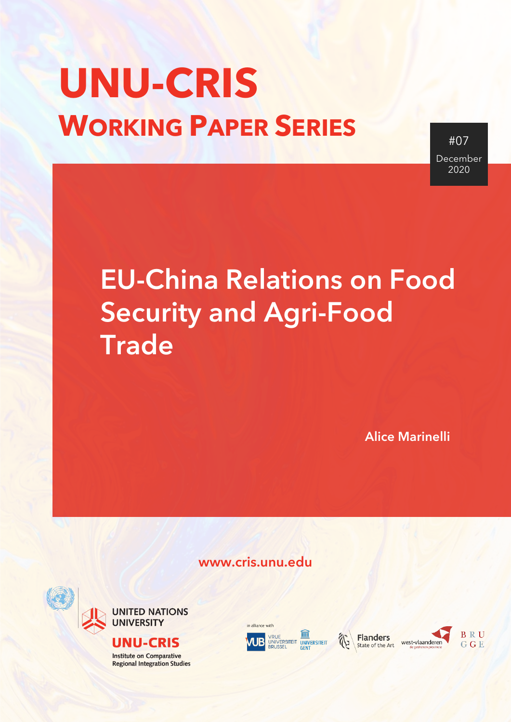# **UNU-CRIS WORKING PAPER SERIES**

#07 December 2020

## EU-China Relations on Food Security and Agri-Food **Trade**

Alice Marinelli

www.cris.unu.edu





#### **UNU-CRIS**

**Institute on Comparative Regional Integration Studies** 







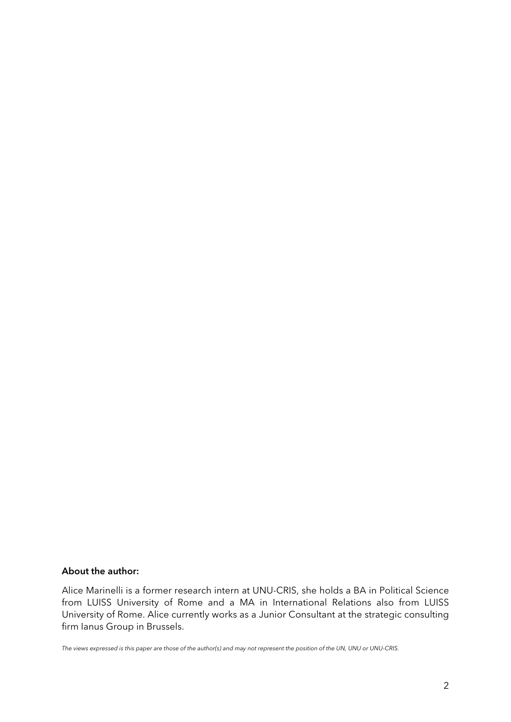#### About the author:

Alice Marinelli is a former research intern at UNU-CRIS, she holds a BA in Political Science from LUISS University of Rome and a MA in International Relations also from LUISS University of Rome. Alice currently works as a Junior Consultant at the strategic consulting firm Ianus Group in Brussels.

*The views expressed is this paper are those of the author(s) and may not represent the position of the UN, UNU or UNU-CRIS.*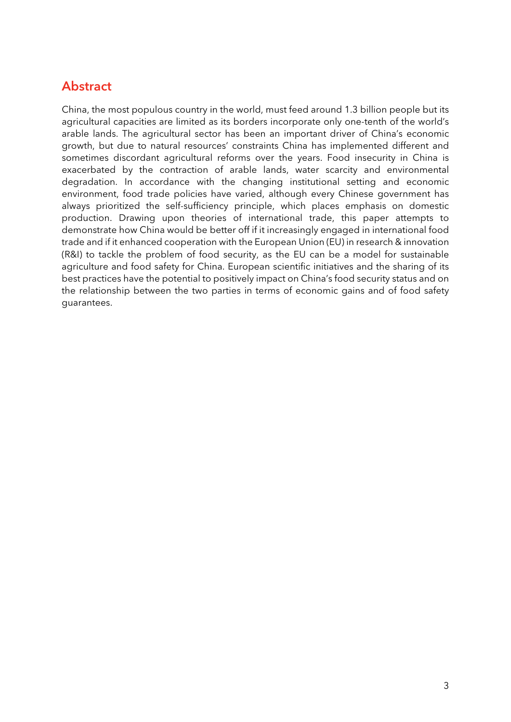#### <span id="page-2-0"></span>**Abstract**

China, the most populous country in the world, must feed around 1.3 billion people but its agricultural capacities are limited as its borders incorporate only one-tenth of the world's arable lands. The agricultural sector has been an important driver of China's economic growth, but due to natural resources' constraints China has implemented different and sometimes discordant agricultural reforms over the years. Food insecurity in China is exacerbated by the contraction of arable lands, water scarcity and environmental degradation. In accordance with the changing institutional setting and economic environment, food trade policies have varied, although every Chinese government has always prioritized the self-sufficiency principle, which places emphasis on domestic production. Drawing upon theories of international trade, this paper attempts to demonstrate how China would be better off if it increasingly engaged in international food trade and if it enhanced cooperation with the European Union (EU) in research & innovation (R&I) to tackle the problem of food security, as the EU can be a model for sustainable agriculture and food safety for China. European scientific initiatives and the sharing of its best practices have the potential to positively impact on China's food security status and on the relationship between the two parties in terms of economic gains and of food safety guarantees.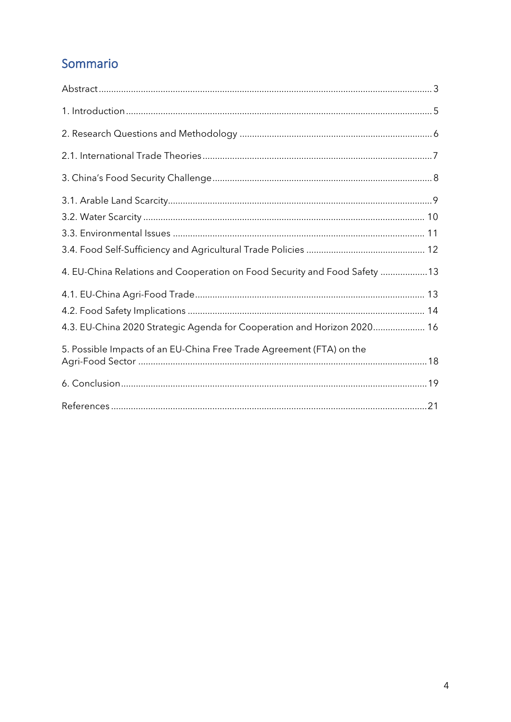### Sommario

| 4. EU-China Relations and Cooperation on Food Security and Food Safety 13 |  |
|---------------------------------------------------------------------------|--|
|                                                                           |  |
|                                                                           |  |
| 4.3. EU-China 2020 Strategic Agenda for Cooperation and Horizon 2020 16   |  |
| 5. Possible Impacts of an EU-China Free Trade Agreement (FTA) on the      |  |
|                                                                           |  |
|                                                                           |  |
|                                                                           |  |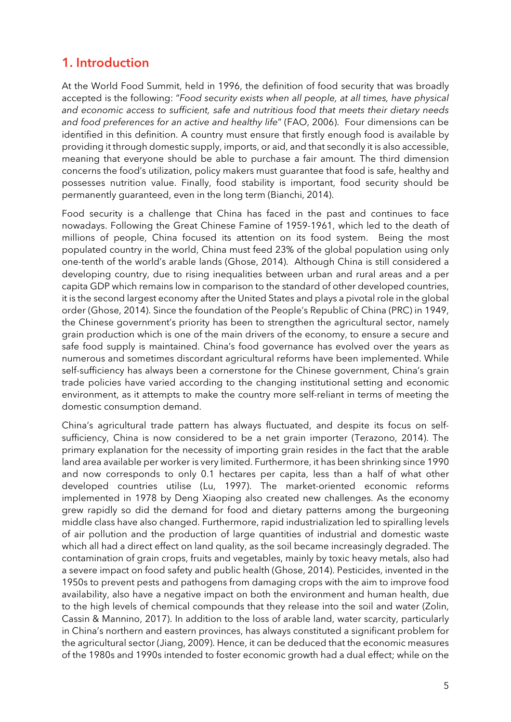#### <span id="page-4-0"></span>1. Introduction

At the World Food Summit, held in 1996, the definition of food security that was broadly accepted is the following: "*Food security exists when all people, at all times, have physical and economic access to sufficient, safe and nutritious food that meets their dietary needs and food preferences for an active and healthy life*" (FAO, 2006). Four dimensions can be identified in this definition. A country must ensure that firstly enough food is available by providing it through domestic supply, imports, or aid, and that secondly it is also accessible, meaning that everyone should be able to purchase a fair amount. The third dimension concerns the food's utilization, policy makers must guarantee that food is safe, healthy and possesses nutrition value. Finally, food stability is important, food security should be permanently guaranteed, even in the long term (Bianchi, 2014).

Food security is a challenge that China has faced in the past and continues to face nowadays. Following the Great Chinese Famine of 1959-1961, which led to the death of millions of people, China focused its attention on its food system. Being the most populated country in the world, China must feed 23% of the global population using only one-tenth of the world's arable lands (Ghose, 2014). Although China is still considered a developing country, due to rising inequalities between urban and rural areas and a per capita GDP which remains low in comparison to the standard of other developed countries, it is the second largest economy after the United States and plays a pivotal role in the global order (Ghose, 2014). Since the foundation of the People's Republic of China (PRC) in 1949, the Chinese government's priority has been to strengthen the agricultural sector, namely grain production which is one of the main drivers of the economy, to ensure a secure and safe food supply is maintained. China's food governance has evolved over the years as numerous and sometimes discordant agricultural reforms have been implemented. While self-sufficiency has always been a cornerstone for the Chinese government, China's grain trade policies have varied according to the changing institutional setting and economic environment, as it attempts to make the country more self-reliant in terms of meeting the domestic consumption demand.

China's agricultural trade pattern has always fluctuated, and despite its focus on selfsufficiency, China is now considered to be a net grain importer (Terazono, 2014). The primary explanation for the necessity of importing grain resides in the fact that the arable land area available per worker is very limited. Furthermore, it has been shrinking since 1990 and now corresponds to only 0.1 hectares per capita, less than a half of what other developed countries utilise (Lu, 1997). The market-oriented economic reforms implemented in 1978 by Deng Xiaoping also created new challenges. As the economy grew rapidly so did the demand for food and dietary patterns among the burgeoning middle class have also changed. Furthermore, rapid industrialization led to spiralling levels of air pollution and the production of large quantities of industrial and domestic waste which all had a direct effect on land quality, as the soil became increasingly degraded. The contamination of grain crops, fruits and vegetables, mainly by toxic heavy metals, also had a severe impact on food safety and public health (Ghose, 2014). Pesticides, invented in the 1950s to prevent pests and pathogens from damaging crops with the aim to improve food availability, also have a negative impact on both the environment and human health, due to the high levels of chemical compounds that they release into the soil and water (Zolin, Cassin & Mannino, 2017). In addition to the loss of arable land, water scarcity, particularly in China's northern and eastern provinces, has always constituted a significant problem for the agricultural sector (Jiang, 2009). Hence, it can be deduced that the economic measures of the 1980s and 1990s intended to foster economic growth had a dual effect; while on the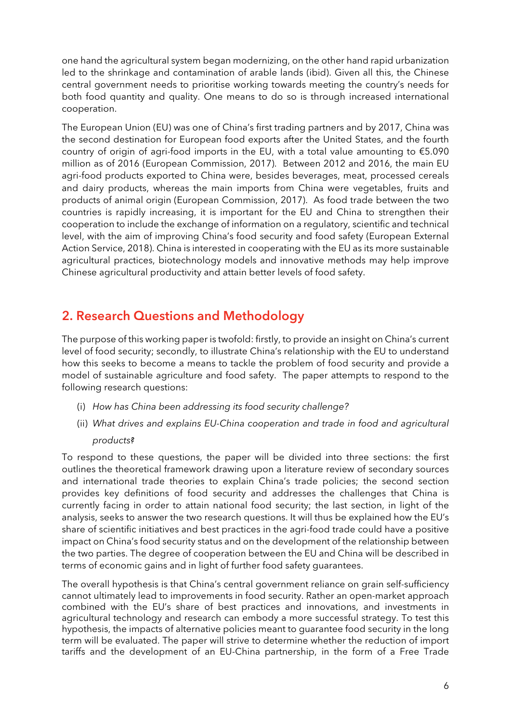one hand the agricultural system began modernizing, on the other hand rapid urbanization led to the shrinkage and contamination of arable lands (ibid). Given all this, the Chinese central government needs to prioritise working towards meeting the country's needs for both food quantity and quality. One means to do so is through increased international cooperation.

The European Union (EU) was one of China's first trading partners and by 2017, China was the second destination for European food exports after the United States, and the fourth country of origin of agri-food imports in the EU, with a total value amounting to €5.090 million as of 2016 (European Commission, 2017). Between 2012 and 2016, the main EU agri-food products exported to China were, besides beverages, meat, processed cereals and dairy products, whereas the main imports from China were vegetables, fruits and products of animal origin (European Commission, 2017). As food trade between the two countries is rapidly increasing, it is important for the EU and China to strengthen their cooperation to include the exchange of information on a regulatory, scientific and technical level, with the aim of improving China's food security and food safety (European External Action Service, 2018). China is interested in cooperating with the EU as its more sustainable agricultural practices, biotechnology models and innovative methods may help improve Chinese agricultural productivity and attain better levels of food safety.

#### <span id="page-5-0"></span>2. Research Questions and Methodology

The purpose of this working paper is twofold: firstly, to provide an insight on China's current level of food security; secondly, to illustrate China's relationship with the EU to understand how this seeks to become a means to tackle the problem of food security and provide a model of sustainable agriculture and food safety. The paper attempts to respond to the following research questions:

- (i) *How has China been addressing its food security challenge?*
- (ii) *What drives and explains EU-China cooperation and trade in food and agricultural products?*

To respond to these questions, the paper will be divided into three sections: the first outlines the theoretical framework drawing upon a literature review of secondary sources and international trade theories to explain China's trade policies; the second section provides key definitions of food security and addresses the challenges that China is currently facing in order to attain national food security; the last section, in light of the analysis, seeks to answer the two research questions. It will thus be explained how the EU's share of scientific initiatives and best practices in the agri-food trade could have a positive impact on China's food security status and on the development of the relationship between the two parties. The degree of cooperation between the EU and China will be described in terms of economic gains and in light of further food safety guarantees.

The overall hypothesis is that China's central government reliance on grain self-sufficiency cannot ultimately lead to improvements in food security. Rather an open-market approach combined with the EU's share of best practices and innovations, and investments in agricultural technology and research can embody a more successful strategy. To test this hypothesis, the impacts of alternative policies meant to guarantee food security in the long term will be evaluated. The paper will strive to determine whether the reduction of import tariffs and the development of an EU-China partnership, in the form of a Free Trade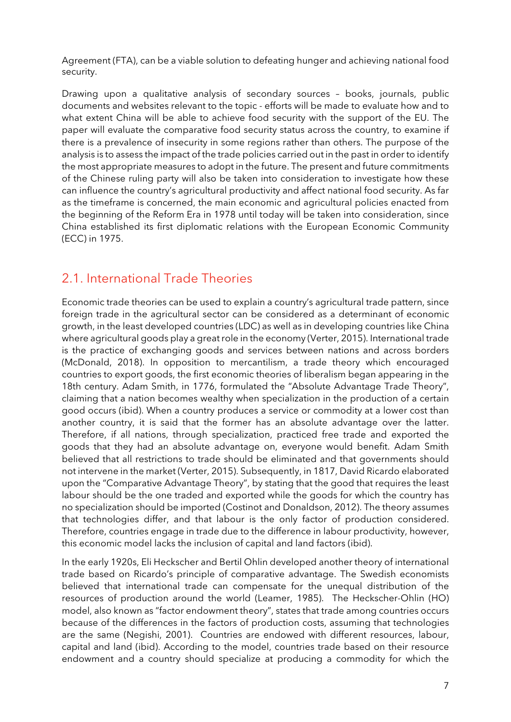Agreement (FTA), can be a viable solution to defeating hunger and achieving national food security.

Drawing upon a qualitative analysis of secondary sources – books, journals, public documents and websites relevant to the topic - efforts will be made to evaluate how and to what extent China will be able to achieve food security with the support of the EU. The paper will evaluate the comparative food security status across the country, to examine if there is a prevalence of insecurity in some regions rather than others. The purpose of the analysis is to assess the impact of the trade policies carried out in the past in order to identify the most appropriate measures to adopt in the future. The present and future commitments of the Chinese ruling party will also be taken into consideration to investigate how these can influence the country's agricultural productivity and affect national food security. As far as the timeframe is concerned, the main economic and agricultural policies enacted from the beginning of the Reform Era in 1978 until today will be taken into consideration, since China established its first diplomatic relations with the European Economic Community (ECC) in 1975.

#### <span id="page-6-0"></span>2.1. International Trade Theories

Economic trade theories can be used to explain a country's agricultural trade pattern, since foreign trade in the agricultural sector can be considered as a determinant of economic growth, in the least developed countries (LDC) as well as in developing countries like China where agricultural goods play a great role in the economy (Verter, 2015). International trade is the practice of exchanging goods and services between nations and across borders (McDonald, 2018). In opposition to mercantilism, a trade theory which encouraged countries to export goods, the first economic theories of liberalism began appearing in the 18th century. Adam Smith, in 1776, formulated the "Absolute Advantage Trade Theory", claiming that a nation becomes wealthy when specialization in the production of a certain good occurs (ibid). When a country produces a service or commodity at a lower cost than another country, it is said that the former has an absolute advantage over the latter. Therefore, if all nations, through specialization, practiced free trade and exported the goods that they had an absolute advantage on, everyone would benefit. Adam Smith believed that all restrictions to trade should be eliminated and that governments should not intervene in the market (Verter, 2015). Subsequently, in 1817, David Ricardo elaborated upon the "Comparative Advantage Theory", by stating that the good that requires the least labour should be the one traded and exported while the goods for which the country has no specialization should be imported (Costinot and Donaldson, 2012). The theory assumes that technologies differ, and that labour is the only factor of production considered. Therefore, countries engage in trade due to the difference in labour productivity, however, this economic model lacks the inclusion of capital and land factors (ibid).

In the early 1920s, Eli Heckscher and Bertil Ohlin developed another theory of international trade based on Ricardo's principle of comparative advantage. The Swedish economists believed that international trade can compensate for the unequal distribution of the resources of production around the world (Leamer, 1985). The Heckscher-Ohlin (HO) model, also known as "factor endowment theory", states that trade among countries occurs because of the differences in the factors of production costs, assuming that technologies are the same (Negishi, 2001). Countries are endowed with different resources, labour, capital and land (ibid). According to the model, countries trade based on their resource endowment and a country should specialize at producing a commodity for which the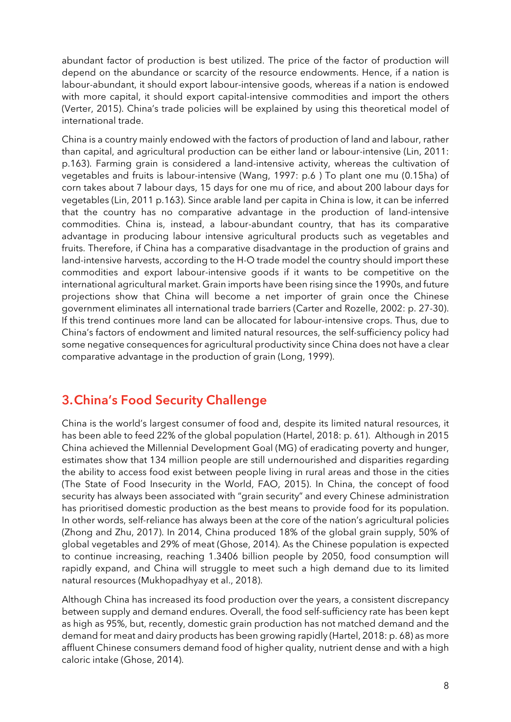abundant factor of production is best utilized. The price of the factor of production will depend on the abundance or scarcity of the resource endowments. Hence, if a nation is labour-abundant, it should export labour-intensive goods, whereas if a nation is endowed with more capital, it should export capital-intensive commodities and import the others (Verter, 2015). China's trade policies will be explained by using this theoretical model of international trade.

China is a country mainly endowed with the factors of production of land and labour, rather than capital, and agricultural production can be either land or labour-intensive (Lin, 2011: p.163). Farming grain is considered a land-intensive activity, whereas the cultivation of vegetables and fruits is labour-intensive (Wang, 1997: p.6 ) To plant one mu (0.15ha) of corn takes about 7 labour days, 15 days for one mu of rice, and about 200 labour days for vegetables (Lin, 2011 p.163). Since arable land per capita in China is low, it can be inferred that the country has no comparative advantage in the production of land-intensive commodities. China is, instead, a labour-abundant country, that has its comparative advantage in producing labour intensive agricultural products such as vegetables and fruits. Therefore, if China has a comparative disadvantage in the production of grains and land-intensive harvests, according to the H-O trade model the country should import these commodities and export labour-intensive goods if it wants to be competitive on the international agricultural market. Grain imports have been rising since the 1990s, and future projections show that China will become a net importer of grain once the Chinese government eliminates all international trade barriers (Carter and Rozelle, 2002: p. 27-30). If this trend continues more land can be allocated for labour-intensive crops. Thus, due to China's factors of endowment and limited natural resources, the self-sufficiency policy had some negative consequences for agricultural productivity since China does not have a clear comparative advantage in the production of grain (Long, 1999).

#### <span id="page-7-0"></span>3.China's Food Security Challenge

China is the world's largest consumer of food and, despite its limited natural resources, it has been able to feed 22% of the global population (Hartel, 2018: p. 61). Although in 2015 China achieved the Millennial Development Goal (MG) of eradicating poverty and hunger, estimates show that 134 million people are still undernourished and disparities regarding the ability to access food exist between people living in rural areas and those in the cities (The State of Food Insecurity in the World, FAO, 2015). In China, the concept of food security has always been associated with "grain security" and every Chinese administration has prioritised domestic production as the best means to provide food for its population. In other words, self-reliance has always been at the core of the nation's agricultural policies (Zhong and Zhu, 2017). In 2014, China produced 18% of the global grain supply, 50% of global vegetables and 29% of meat (Ghose, 2014). As the Chinese population is expected to continue increasing, reaching 1.3406 billion people by 2050, food consumption will rapidly expand, and China will struggle to meet such a high demand due to its limited natural resources (Mukhopadhyay et al., 2018).

Although China has increased its food production over the years, a consistent discrepancy between supply and demand endures. Overall, the food self-sufficiency rate has been kept as high as 95%, but, recently, domestic grain production has not matched demand and the demand for meat and dairy products has been growing rapidly (Hartel, 2018: p. 68) as more affluent Chinese consumers demand food of higher quality, nutrient dense and with a high caloric intake (Ghose, 2014).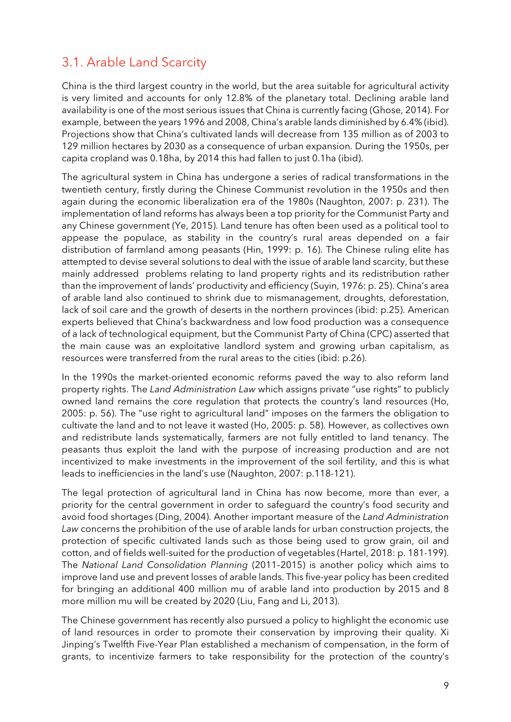#### <span id="page-8-0"></span>3.1. Arable Land Scarcity

China is the third largest country in the world, but the area suitable for agricultural activity is very limited and accounts for only 12.8% of the planetary total. Declining arable land availability is one of the most serious issues that China is currently facing (Ghose, 2014). For example, between the years 1996 and 2008, China's arable lands diminished by 6.4% (ibid). Projections show that China's cultivated lands will decrease from 135 million as of 2003 to 129 million hectares by 2030 as a consequence of urban expansion. During the 1950s, per capita cropland was 0.18ha, by 2014 this had fallen to just 0.1ha (ibid).

The agricultural system in China has undergone a series of radical transformations in the twentieth century, firstly during the Chinese Communist revolution in the 1950s and then again during the economic liberalization era of the 1980s (Naughton, 2007: p. 231). The implementation of land reforms has always been a top priority for the Communist Party and any Chinese government (Ye, 2015). Land tenure has often been used as a political tool to appease the populace, as stability in the country's rural areas depended on a fair distribution of farmland among peasants (Hin, 1999: p. 16). The Chinese ruling elite has attempted to devise several solutions to deal with the issue of arable land scarcity, but these mainly addressed problems relating to land property rights and its redistribution rather than the improvement of lands' productivity and efficiency (Suyin, 1976: p. 25). China's area of arable land also continued to shrink due to mismanagement, droughts, deforestation, lack of soil care and the growth of deserts in the northern provinces (ibid: p.25). American experts believed that China's backwardness and low food production was a consequence of a lack of technological equipment, but the Communist Party of China (CPC) asserted that the main cause was an exploitative landlord system and growing urban capitalism, as resources were transferred from the rural areas to the cities (ibid: p.26).

In the 1990s the market-oriented economic reforms paved the way to also reform land property rights. The *Land Administration Law* which assigns private "use rights" to publicly owned land remains the core regulation that protects the country's land resources (Ho, 2005: p. 56). The "use right to agricultural land" imposes on the farmers the obligation to cultivate the land and to not leave it wasted (Ho, 2005: p. 58). However, as collectives own and redistribute lands systematically, farmers are not fully entitled to land tenancy. The peasants thus exploit the land with the purpose of increasing production and are not incentivized to make investments in the improvement of the soil fertility, and this is what leads to inefficiencies in the land's use (Naughton, 2007: p.118-121).

The legal protection of agricultural land in China has now become, more than ever, a priority for the central government in order to safeguard the country's food security and avoid food shortages (Ding, 2004). Another important measure of the *Land Administration Law* concerns the prohibition of the use of arable lands for urban construction projects, the protection of specific cultivated lands such as those being used to grow grain, oil and cotton, and of fields well-suited for the production of vegetables (Hartel, 2018: p. 181-199). The *National Land Consolidation Planning* (2011–2015) is another policy which aims to improve land use and prevent losses of arable lands. This five-year policy has been credited for bringing an additional 400 million mu of arable land into production by 2015 and 8 more million mu will be created by 2020 (Liu, Fang and Li, 2013).

The Chinese government has recently also pursued a policy to highlight the economic use of land resources in order to promote their conservation by improving their quality. Xi Jinping's Twelfth Five-Year Plan established a mechanism of compensation, in the form of grants, to incentivize farmers to take responsibility for the protection of the country's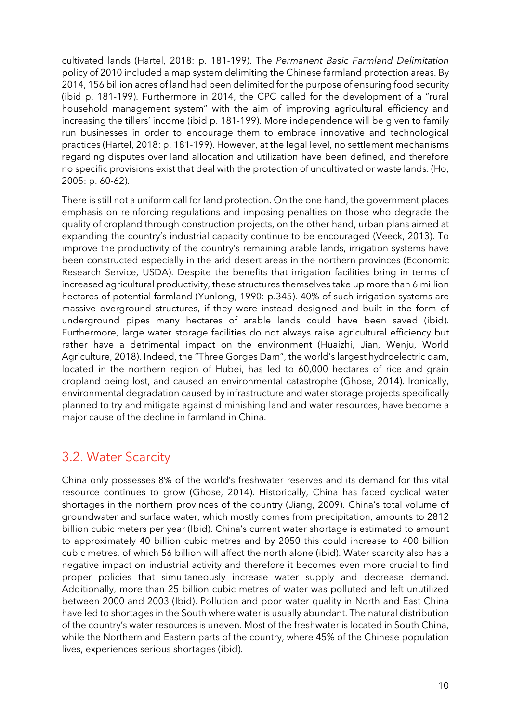cultivated lands (Hartel, 2018: p. 181-199). The *Permanent Basic Farmland Delimitation*  policy of 2010 included a map system delimiting the Chinese farmland protection areas. By 2014, 156 billion acres of land had been delimited for the purpose of ensuring food security (ibid p. 181-199). Furthermore in 2014, the CPC called for the development of a "rural household management system" with the aim of improving agricultural efficiency and increasing the tillers' income (ibid p. 181-199). More independence will be given to family run businesses in order to encourage them to embrace innovative and technological practices (Hartel, 2018: p. 181-199). However, at the legal level, no settlement mechanisms regarding disputes over land allocation and utilization have been defined, and therefore no specific provisions exist that deal with the protection of uncultivated or waste lands. (Ho, 2005: p. 60-62).

There is still not a uniform call for land protection. On the one hand, the government places emphasis on reinforcing regulations and imposing penalties on those who degrade the quality of cropland through construction projects, on the other hand, urban plans aimed at expanding the country's industrial capacity continue to be encouraged (Veeck, 2013). To improve the productivity of the country's remaining arable lands, irrigation systems have been constructed especially in the arid desert areas in the northern provinces (Economic Research Service, USDA). Despite the benefits that irrigation facilities bring in terms of increased agricultural productivity, these structures themselves take up more than 6 million hectares of potential farmland (Yunlong, 1990: p.345). 40% of such irrigation systems are massive overground structures, if they were instead designed and built in the form of underground pipes many hectares of arable lands could have been saved (ibid). Furthermore, large water storage facilities do not always raise agricultural efficiency but rather have a detrimental impact on the environment (Huaizhi, Jian, Wenju, World Agriculture, 2018). Indeed, the "Three Gorges Dam", the world's largest hydroelectric dam, located in the northern region of Hubei, has led to 60,000 hectares of rice and grain cropland being lost, and caused an environmental catastrophe (Ghose, 2014). Ironically, environmental degradation caused by infrastructure and water storage projects specifically planned to try and mitigate against diminishing land and water resources, have become a major cause of the decline in farmland in China.

#### <span id="page-9-0"></span>3.2. Water Scarcity

China only possesses 8% of the world's freshwater reserves and its demand for this vital resource continues to grow (Ghose, 2014). Historically, China has faced cyclical water shortages in the northern provinces of the country (Jiang, 2009). China's total volume of groundwater and surface water, which mostly comes from precipitation, amounts to 2812 billion cubic meters per year (Ibid). China's current water shortage is estimated to amount to approximately 40 billion cubic metres and by 2050 this could increase to 400 billion cubic metres, of which 56 billion will affect the north alone (ibid). Water scarcity also has a negative impact on industrial activity and therefore it becomes even more crucial to find proper policies that simultaneously increase water supply and decrease demand. Additionally, more than 25 billion cubic metres of water was polluted and left unutilized between 2000 and 2003 (Ibid). Pollution and poor water quality in North and East China have led to shortages in the South where water is usually abundant. The natural distribution of the country's water resources is uneven. Most of the freshwater is located in South China, while the Northern and Eastern parts of the country, where 45% of the Chinese population lives, experiences serious shortages (ibid).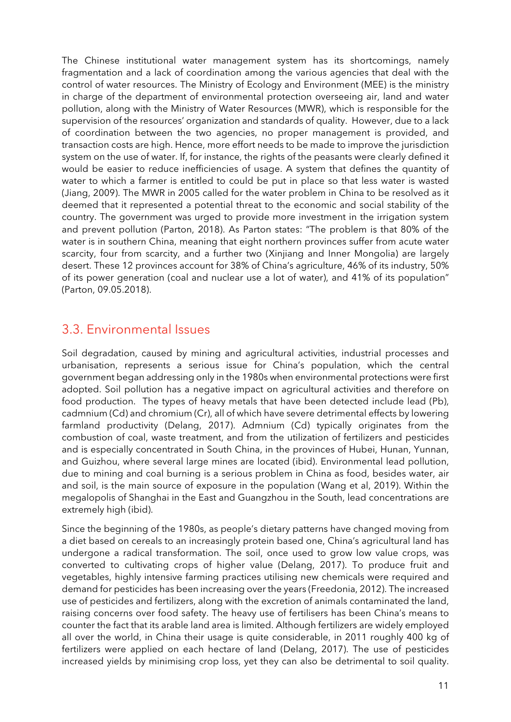The Chinese institutional water management system has its shortcomings, namely fragmentation and a lack of coordination among the various agencies that deal with the control of water resources. The Ministry of Ecology and Environment (MEE) is the ministry in charge of the department of environmental protection overseeing air, land and water pollution, along with the Ministry of Water Resources (MWR), which is responsible for the supervision of the resources' organization and standards of quality. However, due to a lack of coordination between the two agencies, no proper management is provided, and transaction costs are high. Hence, more effort needs to be made to improve the jurisdiction system on the use of water. If, for instance, the rights of the peasants were clearly defined it would be easier to reduce inefficiencies of usage. A system that defines the quantity of water to which a farmer is entitled to could be put in place so that less water is wasted (Jiang, 2009). The MWR in 2005 called for the water problem in China to be resolved as it deemed that it represented a potential threat to the economic and social stability of the country. The government was urged to provide more investment in the irrigation system and prevent pollution (Parton, 2018). As Parton states: "The problem is that 80% of the water is in southern China, meaning that eight northern provinces suffer from acute water scarcity, four from scarcity, and a further two (Xinjiang and Inner Mongolia) are largely desert. These 12 provinces account for 38% of China's agriculture, 46% of its industry, 50% of its power generation (coal and nuclear use a lot of water), and 41% of its population" (Parton, 09.05.2018).

#### <span id="page-10-0"></span>3.3. Environmental Issues

Soil degradation, caused by mining and agricultural activities, industrial processes and urbanisation, represents a serious issue for China's population, which the central government began addressing only in the 1980s when environmental protections were first adopted. Soil pollution has a negative impact on agricultural activities and therefore on food production. The types of heavy metals that have been detected include lead (Pb), cadmnium (Cd) and chromium (Cr), all of which have severe detrimental effects by lowering farmland productivity (Delang, 2017). Admnium (Cd) typically originates from the combustion of coal, waste treatment, and from the utilization of fertilizers and pesticides and is especially concentrated in South China, in the provinces of Hubei, Hunan, Yunnan, and Guizhou, where several large mines are located (ibid). Environmental lead pollution, due to mining and coal burning is a serious problem in China as food, besides water, air and soil, is the main source of exposure in the population (Wang et al, 2019). Within the megalopolis of Shanghai in the East and Guangzhou in the South, lead concentrations are extremely high (ibid).

Since the beginning of the 1980s, as people's dietary patterns have changed moving from a diet based on cereals to an increasingly protein based one, China's agricultural land has undergone a radical transformation. The soil, once used to grow low value crops, was converted to cultivating crops of higher value (Delang, 2017). To produce fruit and vegetables, highly intensive farming practices utilising new chemicals were required and demand for pesticides has been increasing over the years (Freedonia, 2012). The increased use of pesticides and fertilizers, along with the excretion of animals contaminated the land, raising concerns over food safety. The heavy use of fertilisers has been China's means to counter the fact that its arable land area is limited. Although fertilizers are widely employed all over the world, in China their usage is quite considerable, in 2011 roughly 400 kg of fertilizers were applied on each hectare of land (Delang, 2017). The use of pesticides increased yields by minimising crop loss, yet they can also be detrimental to soil quality.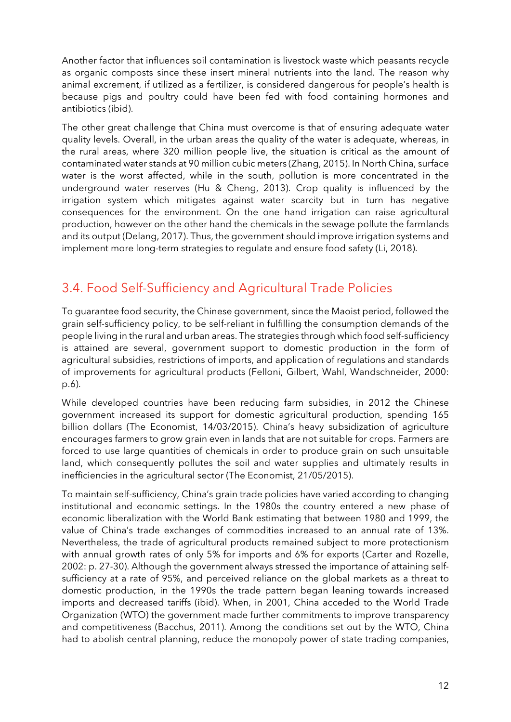Another factor that influences soil contamination is livestock waste which peasants recycle as organic composts since these insert mineral nutrients into the land. The reason why animal excrement, if utilized as a fertilizer, is considered dangerous for people's health is because pigs and poultry could have been fed with food containing hormones and antibiotics (ibid).

The other great challenge that China must overcome is that of ensuring adequate water quality levels. Overall, in the urban areas the quality of the water is adequate, whereas, in the rural areas, where 320 million people live, the situation is critical as the amount of contaminated water stands at 90 million cubic meters (Zhang, 2015). In North China, surface water is the worst affected, while in the south, pollution is more concentrated in the underground water reserves (Hu & Cheng, 2013). Crop quality is influenced by the irrigation system which mitigates against water scarcity but in turn has negative consequences for the environment. On the one hand irrigation can raise agricultural production, however on the other hand the chemicals in the sewage pollute the farmlands and its output (Delang, 2017). Thus, the government should improve irrigation systems and implement more long-term strategies to regulate and ensure food safety (Li, 2018).

#### <span id="page-11-0"></span>3.4. Food Self-Sufficiency and Agricultural Trade Policies

To guarantee food security, the Chinese government, since the Maoist period, followed the grain self-sufficiency policy, to be self-reliant in fulfilling the consumption demands of the people living in the rural and urban areas. The strategies through which food self-sufficiency is attained are several, government support to domestic production in the form of agricultural subsidies, restrictions of imports, and application of regulations and standards of improvements for agricultural products (Felloni, Gilbert, Wahl, Wandschneider, 2000: p.6).

While developed countries have been reducing farm subsidies, in 2012 the Chinese government increased its support for domestic agricultural production, spending 165 billion dollars (The Economist, 14/03/2015). China's heavy subsidization of agriculture encourages farmers to grow grain even in lands that are not suitable for crops. Farmers are forced to use large quantities of chemicals in order to produce grain on such unsuitable land, which consequently pollutes the soil and water supplies and ultimately results in inefficiencies in the agricultural sector (The Economist, 21/05/2015).

To maintain self-sufficiency, China's grain trade policies have varied according to changing institutional and economic settings. In the 1980s the country entered a new phase of economic liberalization with the World Bank estimating that between 1980 and 1999, the value of China's trade exchanges of commodities increased to an annual rate of 13%. Nevertheless, the trade of agricultural products remained subject to more protectionism with annual growth rates of only 5% for imports and 6% for exports (Carter and Rozelle, 2002: p. 27-30). Although the government always stressed the importance of attaining selfsufficiency at a rate of 95%, and perceived reliance on the global markets as a threat to domestic production, in the 1990s the trade pattern began leaning towards increased imports and decreased tariffs (ibid). When, in 2001, China acceded to the World Trade Organization (WTO) the government made further commitments to improve transparency and competitiveness (Bacchus, 2011). Among the conditions set out by the WTO, China had to abolish central planning, reduce the monopoly power of state trading companies,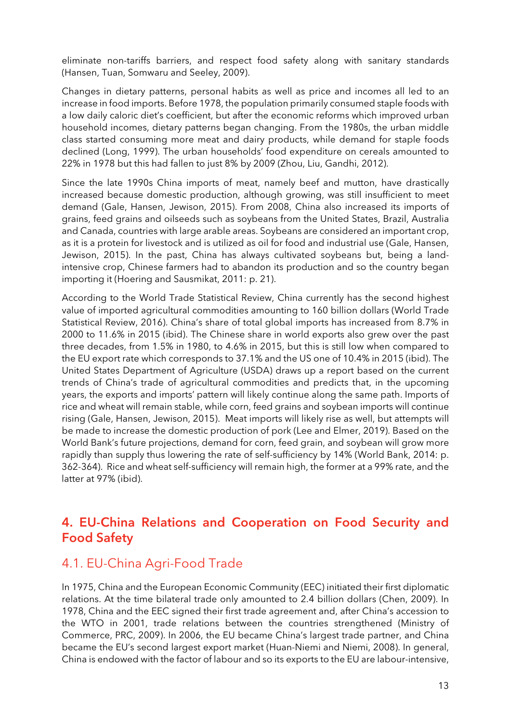eliminate non-tariffs barriers, and respect food safety along with sanitary standards (Hansen, Tuan, Somwaru and Seeley, 2009).

Changes in dietary patterns, personal habits as well as price and incomes all led to an increase in food imports. Before 1978, the population primarily consumed staple foods with a low daily caloric diet's coefficient, but after the economic reforms which improved urban household incomes, dietary patterns began changing. From the 1980s, the urban middle class started consuming more meat and dairy products, while demand for staple foods declined (Long, 1999). The urban households' food expenditure on cereals amounted to 22% in 1978 but this had fallen to just 8% by 2009 (Zhou, Liu, Gandhi, 2012).

Since the late 1990s China imports of meat, namely beef and mutton, have drastically increased because domestic production, although growing, was still insufficient to meet demand (Gale, Hansen, Jewison, 2015). From 2008, China also increased its imports of grains, feed grains and oilseeds such as soybeans from the United States, Brazil, Australia and Canada, countries with large arable areas. Soybeans are considered an important crop, as it is a protein for livestock and is utilized as oil for food and industrial use (Gale, Hansen, Jewison, 2015). In the past, China has always cultivated soybeans but, being a landintensive crop, Chinese farmers had to abandon its production and so the country began importing it (Hoering and Sausmikat, 2011: p. 21).

According to the World Trade Statistical Review, China currently has the second highest value of imported agricultural commodities amounting to 160 billion dollars (World Trade Statistical Review, 2016). China's share of total global imports has increased from 8.7% in 2000 to 11.6% in 2015 (ibid). The Chinese share in world exports also grew over the past three decades, from 1.5% in 1980, to 4.6% in 2015, but this is still low when compared to the EU export rate which corresponds to 37.1% and the US one of 10.4% in 2015 (ibid). The United States Department of Agriculture (USDA) draws up a report based on the current trends of China's trade of agricultural commodities and predicts that, in the upcoming years, the exports and imports' pattern will likely continue along the same path. Imports of rice and wheat will remain stable, while corn, feed grains and soybean imports will continue rising (Gale, Hansen, Jewison, 2015). Meat imports will likely rise as well, but attempts will be made to increase the domestic production of pork (Lee and Elmer, 2019). Based on the World Bank's future projections, demand for corn, feed grain, and soybean will grow more rapidly than supply thus lowering the rate of self-sufficiency by 14% (World Bank, 2014: p. 362-364). Rice and wheat self-sufficiency will remain high, the former at a 99% rate, and the latter at 97% (ibid).

#### <span id="page-12-0"></span>4. EU-China Relations and Cooperation on Food Security and Food Safety

#### <span id="page-12-1"></span>4.1. EU-China Agri-Food Trade

In 1975, China and the European Economic Community (EEC) initiated their first diplomatic relations. At the time bilateral trade only amounted to 2.4 billion dollars (Chen, 2009). In 1978, China and the EEC signed their first trade agreement and, after China's accession to the WTO in 2001, trade relations between the countries strengthened (Ministry of Commerce, PRC, 2009). In 2006, the EU became China's largest trade partner, and China became the EU's second largest export market (Huan-Niemi and Niemi, 2008). In general, China is endowed with the factor of labour and so its exports to the EU are labour-intensive,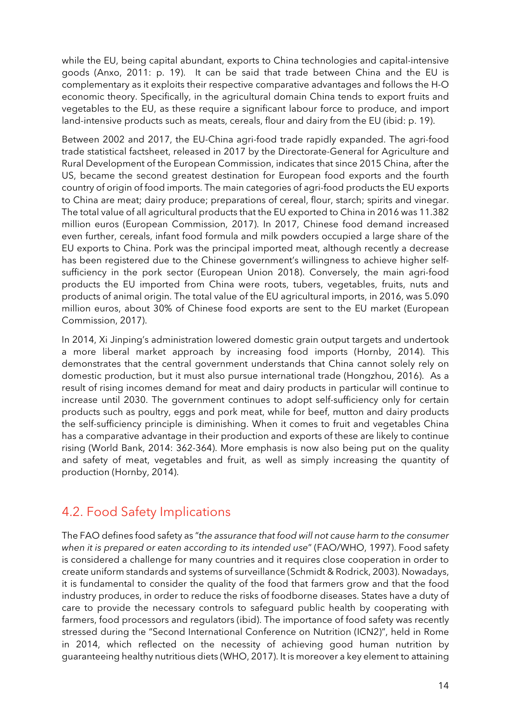while the EU, being capital abundant, exports to China technologies and capital-intensive goods (Anxo, 2011: p. 19). It can be said that trade between China and the EU is complementary as it exploits their respective comparative advantages and follows the H-O economic theory. Specifically, in the agricultural domain China tends to export fruits and vegetables to the EU, as these require a significant labour force to produce, and import land-intensive products such as meats, cereals, flour and dairy from the EU (ibid: p. 19).

Between 2002 and 2017, the EU-China agri-food trade rapidly expanded. The agri-food trade statistical factsheet, released in 2017 by the Directorate-General for Agriculture and Rural Development of the European Commission, indicates that since 2015 China, after the US, became the second greatest destination for European food exports and the fourth country of origin of food imports. The main categories of agri-food products the EU exports to China are meat; dairy produce; preparations of cereal, flour, starch; spirits and vinegar. The total value of all agricultural products that the EU exported to China in 2016 was 11.382 million euros (European Commission, 2017). In 2017, Chinese food demand increased even further, cereals, infant food formula and milk powders occupied a large share of the EU exports to China. Pork was the principal imported meat, although recently a decrease has been registered due to the Chinese government's willingness to achieve higher selfsufficiency in the pork sector (European Union 2018). Conversely, the main agri-food products the EU imported from China were roots, tubers, vegetables, fruits, nuts and products of animal origin. The total value of the EU agricultural imports, in 2016, was 5.090 million euros, about 30% of Chinese food exports are sent to the EU market (European Commission, 2017).

In 2014, Xi Jinping's administration lowered domestic grain output targets and undertook a more liberal market approach by increasing food imports (Hornby, 2014). This demonstrates that the central government understands that China cannot solely rely on domestic production, but it must also pursue international trade (Hongzhou, 2016). As a result of rising incomes demand for meat and dairy products in particular will continue to increase until 2030. The government continues to adopt self-sufficiency only for certain products such as poultry, eggs and pork meat, while for beef, mutton and dairy products the self-sufficiency principle is diminishing. When it comes to fruit and vegetables China has a comparative advantage in their production and exports of these are likely to continue rising (World Bank, 2014: 362-364). More emphasis is now also being put on the quality and safety of meat, vegetables and fruit, as well as simply increasing the quantity of production (Hornby, 2014).

#### <span id="page-13-0"></span>4.2. Food Safety Implications

The FAO defines food safety as "*the assurance that food will not cause harm to the consumer when it is prepared or eaten according to its intended use*" (FAO/WHO, 1997). Food safety is considered a challenge for many countries and it requires close cooperation in order to create uniform standards and systems of surveillance (Schmidt & Rodrick, 2003). Nowadays, it is fundamental to consider the quality of the food that farmers grow and that the food industry produces, in order to reduce the risks of foodborne diseases. States have a duty of care to provide the necessary controls to safeguard public health by cooperating with farmers, food processors and regulators (ibid). The importance of food safety was recently stressed during the "Second International Conference on Nutrition (ICN2)", held in Rome in 2014, which reflected on the necessity of achieving good human nutrition by guaranteeing healthy nutritious diets (WHO, 2017). It is moreover a key element to attaining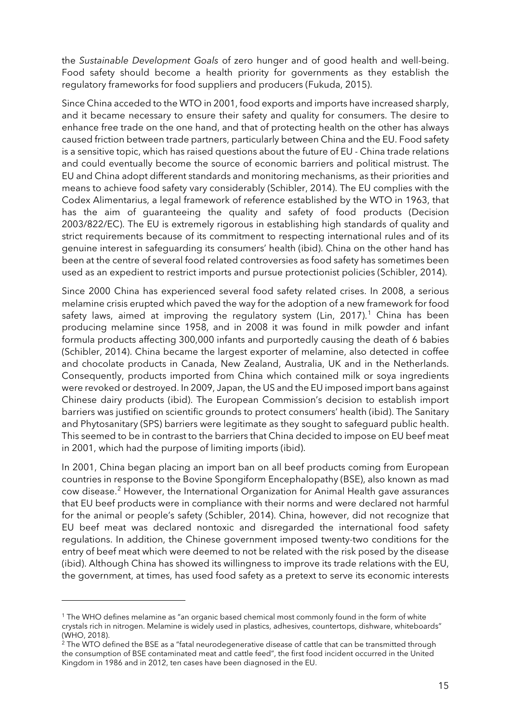the *Sustainable Development Goals* of zero hunger and of good health and well-being. Food safety should become a health priority for governments as they establish the regulatory frameworks for food suppliers and producers (Fukuda, 2015).

Since China acceded to the WTO in 2001, food exports and imports have increased sharply, and it became necessary to ensure their safety and quality for consumers. The desire to enhance free trade on the one hand, and that of protecting health on the other has always caused friction between trade partners, particularly between China and the EU. Food safety is a sensitive topic, which has raised questions about the future of EU - China trade relations and could eventually become the source of economic barriers and political mistrust. The EU and China adopt different standards and monitoring mechanisms, as their priorities and means to achieve food safety vary considerably (Schibler, 2014). The EU complies with the Codex Alimentarius, a legal framework of reference established by the WTO in 1963, that has the aim of guaranteeing the quality and safety of food products (Decision 2003/822/EC). The EU is extremely rigorous in establishing high standards of quality and strict requirements because of its commitment to respecting international rules and of its genuine interest in safeguarding its consumers' health (ibid). China on the other hand has been at the centre of several food related controversies as food safety has sometimes been used as an expedient to restrict imports and pursue protectionist policies (Schibler, 2014).

Since 2000 China has experienced several food safety related crises. In 2008, a serious melamine crisis erupted which paved the way for the adoption of a new framework for food safety laws, aimed at improving the regulatory system (Lin, 20[1](#page-14-0)7).<sup>1</sup> China has been producing melamine since 1958, and in 2008 it was found in milk powder and infant formula products affecting 300,000 infants and purportedly causing the death of 6 babies (Schibler, 2014). China became the largest exporter of melamine, also detected in coffee and chocolate products in Canada, New Zealand, Australia, UK and in the Netherlands. Consequently, products imported from China which contained milk or soya ingredients were revoked or destroyed. In 2009, Japan, the US and the EU imposed import bans against Chinese dairy products (ibid). The European Commission's decision to establish import barriers was justified on scientific grounds to protect consumers' health (ibid). The Sanitary and Phytosanitary (SPS) barriers were legitimate as they sought to safeguard public health. This seemed to be in contrast to the barriers that China decided to impose on EU beef meat in 2001, which had the purpose of limiting imports (ibid).

In 2001, China began placing an import ban on all beef products coming from European countries in response to the Bovine Spongiform Encephalopathy (BSE), also known as mad cow disease.[2](#page-14-1) However, the International Organization for Animal Health gave assurances that EU beef products were in compliance with their norms and were declared not harmful for the animal or people's safety (Schibler, 2014). China, however, did not recognize that EU beef meat was declared nontoxic and disregarded the international food safety regulations. In addition, the Chinese government imposed twenty-two conditions for the entry of beef meat which were deemed to not be related with the risk posed by the disease (ibid). Although China has showed its willingness to improve its trade relations with the EU, the government, at times, has used food safety as a pretext to serve its economic interests

<span id="page-14-0"></span><sup>&</sup>lt;sup>1</sup> The WHO defines melamine as "an organic based chemical most commonly found in the form of white crystals rich in nitrogen. Melamine is widely used in plastics, adhesives, countertops, dishware, whiteboards" (WHO, 2018).

<span id="page-14-1"></span><sup>&</sup>lt;sup>2</sup> The WTO defined the BSE as a "fatal neurodegenerative disease of cattle that can be transmitted through the consumption of BSE contaminated meat and cattle feed", the first food incident occurred in the United Kingdom in 1986 and in 2012, ten cases have been diagnosed in the EU.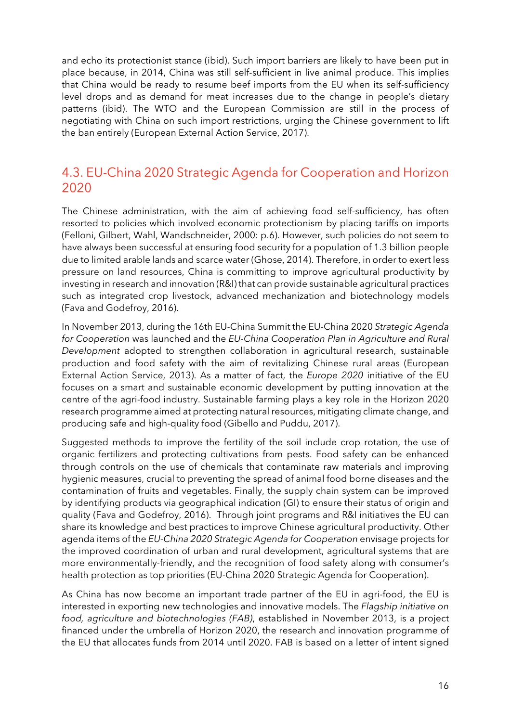and echo its protectionist stance (ibid). Such import barriers are likely to have been put in place because, in 2014, China was still self-sufficient in live animal produce. This implies that China would be ready to resume beef imports from the EU when its self-sufficiency level drops and as demand for meat increases due to the change in people's dietary patterns (ibid). The WTO and the European Commission are still in the process of negotiating with China on such import restrictions, urging the Chinese government to lift the ban entirely (European External Action Service, 2017).

#### <span id="page-15-0"></span>4.3. EU-China 2020 Strategic Agenda for Cooperation and Horizon 2020

The Chinese administration, with the aim of achieving food self-sufficiency, has often resorted to policies which involved economic protectionism by placing tariffs on imports (Felloni, Gilbert, Wahl, Wandschneider, 2000: p.6). However, such policies do not seem to have always been successful at ensuring food security for a population of 1.3 billion people due to limited arable lands and scarce water (Ghose, 2014). Therefore, in order to exert less pressure on land resources, China is committing to improve agricultural productivity by investing in research and innovation (R&I) that can provide sustainable agricultural practices such as integrated crop livestock, advanced mechanization and biotechnology models (Fava and Godefroy, 2016).

In November 2013, during the 16th EU-China Summit the EU-China 2020 *Strategic Agenda for Cooperation* was launched and the *EU-China Cooperation Plan in Agriculture and Rural Development* adopted to strengthen collaboration in agricultural research, sustainable production and food safety with the aim of revitalizing Chinese rural areas (European External Action Service, 2013). As a matter of fact, the *Europe 2020* initiative of the EU focuses on a smart and sustainable economic development by putting innovation at the centre of the agri-food industry. Sustainable farming plays a key role in the Horizon 2020 research programme aimed at protecting natural resources, mitigating climate change, and producing safe and high-quality food (Gibello and Puddu, 2017).

Suggested methods to improve the fertility of the soil include crop rotation, the use of organic fertilizers and protecting cultivations from pests. Food safety can be enhanced through controls on the use of chemicals that contaminate raw materials and improving hygienic measures, crucial to preventing the spread of animal food borne diseases and the contamination of fruits and vegetables. Finally, the supply chain system can be improved by identifying products via geographical indication (GI) to ensure their status of origin and quality (Fava and Godefroy, 2016). Through joint programs and R&I initiatives the EU can share its knowledge and best practices to improve Chinese agricultural productivity. Other agenda items of the *EU-China 2020 Strategic Agenda for Cooperation* envisage projects for the improved coordination of urban and rural development, agricultural systems that are more environmentally-friendly, and the recognition of food safety along with consumer's health protection as top priorities (EU-China 2020 Strategic Agenda for Cooperation).

As China has now become an important trade partner of the EU in agri-food, the EU is interested in exporting new technologies and innovative models. The *Flagship initiative on food, agriculture and biotechnologies (FAB)*, established in November 2013, is a project financed under the umbrella of Horizon 2020, the research and innovation programme of the EU that allocates funds from 2014 until 2020. FAB is based on a letter of intent signed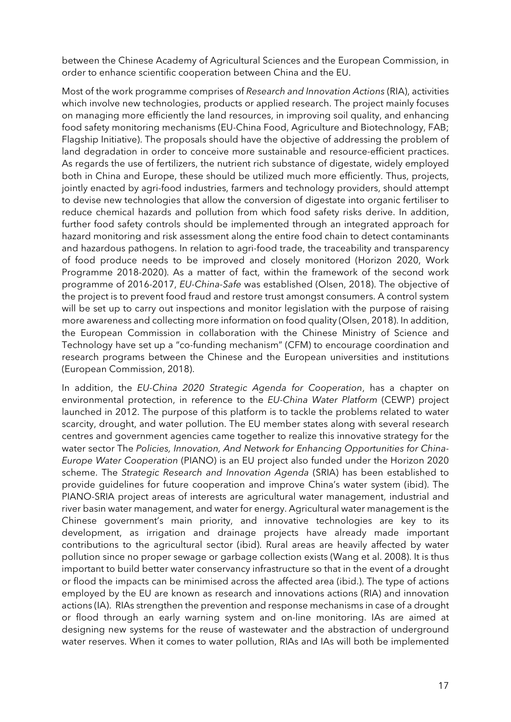between the Chinese Academy of Agricultural Sciences and the European Commission, in order to enhance scientific cooperation between China and the EU.

Most of the work programme comprises of *Research and Innovation Actions* (RIA), activities which involve new technologies, products or applied research. The project mainly focuses on managing more efficiently the land resources, in improving soil quality, and enhancing food safety monitoring mechanisms (EU-China Food, Agriculture and Biotechnology, FAB; Flagship Initiative). The proposals should have the objective of addressing the problem of land degradation in order to conceive more sustainable and resource-efficient practices. As regards the use of fertilizers, the nutrient rich substance of digestate, widely employed both in China and Europe, these should be utilized much more efficiently. Thus, projects, jointly enacted by agri-food industries, farmers and technology providers, should attempt to devise new technologies that allow the conversion of digestate into organic fertiliser to reduce chemical hazards and pollution from which food safety risks derive. In addition, further food safety controls should be implemented through an integrated approach for hazard monitoring and risk assessment along the entire food chain to detect contaminants and hazardous pathogens. In relation to agri-food trade, the traceability and transparency of food produce needs to be improved and closely monitored (Horizon 2020, Work Programme 2018-2020). As a matter of fact, within the framework of the second work programme of 2016-2017, *EU-China-Safe* was established (Olsen, 2018). The objective of the project is to prevent food fraud and restore trust amongst consumers. A control system will be set up to carry out inspections and monitor legislation with the purpose of raising more awareness and collecting more information on food quality (Olsen, 2018). In addition, the European Commission in collaboration with the Chinese Ministry of Science and Technology have set up a "co-funding mechanism" (CFM) to encourage coordination and research programs between the Chinese and the European universities and institutions (European Commission, 2018).

In addition, the *EU-China 2020 Strategic Agenda for Cooperation*, has a chapter on environmental protection, in reference to the *EU-China Water Platform* (CEWP) project launched in 2012. The purpose of this platform is to tackle the problems related to water scarcity, drought, and water pollution. The EU member states along with several research centres and government agencies came together to realize this innovative strategy for the water sector The *Policies, Innovation, And Network for Enhancing Opportunities for China-Europe Water Cooperation* (PIANO) is an EU project also funded under the Horizon 2020 scheme. The *Strategic Research and Innovation Agenda* (SRIA) has been established to provide guidelines for future cooperation and improve China's water system (ibid). The PIANO-SRIA project areas of interests are agricultural water management, industrial and river basin water management, and water for energy. Agricultural water management is the Chinese government's main priority, and innovative technologies are key to its development, as irrigation and drainage projects have already made important contributions to the agricultural sector (ibid). Rural areas are heavily affected by water pollution since no proper sewage or garbage collection exists (Wang et al. 2008). It is thus important to build better water conservancy infrastructure so that in the event of a drought or flood the impacts can be minimised across the affected area (ibid.). The type of actions employed by the EU are known as research and innovations actions (RIA) and innovation actions (IA). RIAs strengthen the prevention and response mechanisms in case of a drought or flood through an early warning system and on-line monitoring. IAs are aimed at designing new systems for the reuse of wastewater and the abstraction of underground water reserves. When it comes to water pollution, RIAs and IAs will both be implemented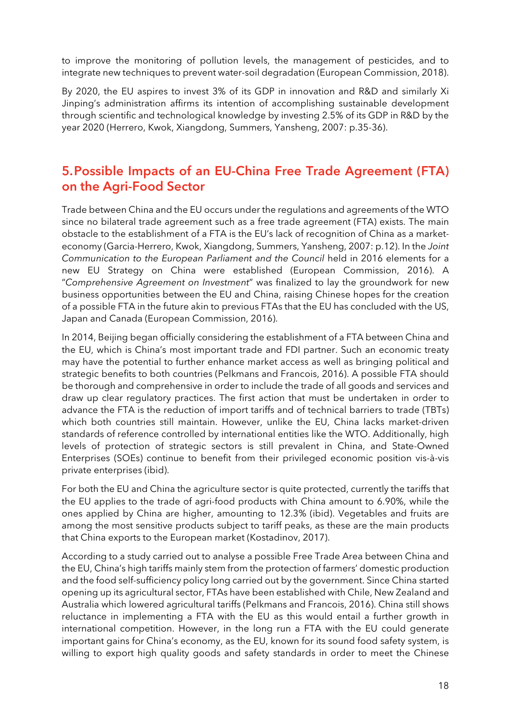to improve the monitoring of pollution levels, the management of pesticides, and to integrate new techniques to prevent water-soil degradation (European Commission, 2018).

By 2020, the EU aspires to invest 3% of its GDP in innovation and R&D and similarly Xi Jinping's administration affirms its intention of accomplishing sustainable development through scientific and technological knowledge by investing 2.5% of its GDP in R&D by the year 2020 (Herrero, Kwok, Xiangdong, Summers, Yansheng, 2007: p.35-36).

#### <span id="page-17-0"></span>5.Possible Impacts of an EU-China Free Trade Agreement (FTA) on the Agri-Food Sector

Trade between China and the EU occurs under the regulations and agreements of the WTO since no bilateral trade agreement such as a free trade agreement (FTA) exists. The main obstacle to the establishment of a FTA is the EU's lack of recognition of China as a marketeconomy (Garcia-Herrero, Kwok, Xiangdong, Summers, Yansheng, 2007: p.12). In the *Joint Communication to the European Parliament and the Council* held in 2016 elements for a new EU Strategy on China were established (European Commission, 2016). A "*Comprehensive Agreement on Investment*" was finalized to lay the groundwork for new business opportunities between the EU and China, raising Chinese hopes for the creation of a possible FTA in the future akin to previous FTAs that the EU has concluded with the US, Japan and Canada (European Commission, 2016).

In 2014, Beijing began officially considering the establishment of a FTA between China and the EU, which is China's most important trade and FDI partner. Such an economic treaty may have the potential to further enhance market access as well as bringing political and strategic benefits to both countries (Pelkmans and Francois, 2016). A possible FTA should be thorough and comprehensive in order to include the trade of all goods and services and draw up clear regulatory practices. The first action that must be undertaken in order to advance the FTA is the reduction of import tariffs and of technical barriers to trade (TBTs) which both countries still maintain. However, unlike the EU, China lacks market-driven standards of reference controlled by international entities like the WTO. Additionally, high levels of protection of strategic sectors is still prevalent in China, and State-Owned Enterprises (SOEs) continue to benefit from their privileged economic position vis-à-vis private enterprises (ibid).

For both the EU and China the agriculture sector is quite protected, currently the tariffs that the EU applies to the trade of agri-food products with China amount to 6.90%, while the ones applied by China are higher, amounting to 12.3% (ibid). Vegetables and fruits are among the most sensitive products subject to tariff peaks, as these are the main products that China exports to the European market (Kostadinov, 2017).

According to a study carried out to analyse a possible Free Trade Area between China and the EU, China's high tariffs mainly stem from the protection of farmers' domestic production and the food self-sufficiency policy long carried out by the government. Since China started opening up its agricultural sector, FTAs have been established with Chile, New Zealand and Australia which lowered agricultural tariffs (Pelkmans and Francois, 2016). China still shows reluctance in implementing a FTA with the EU as this would entail a further growth in international competition. However, in the long run a FTA with the EU could generate important gains for China's economy, as the EU, known for its sound food safety system, is willing to export high quality goods and safety standards in order to meet the Chinese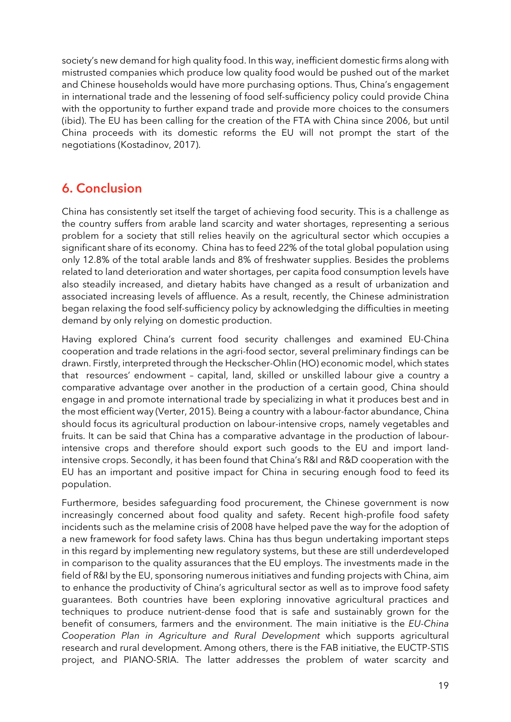society's new demand for high quality food. In this way, inefficient domestic firms along with mistrusted companies which produce low quality food would be pushed out of the market and Chinese households would have more purchasing options. Thus, China's engagement in international trade and the lessening of food self-sufficiency policy could provide China with the opportunity to further expand trade and provide more choices to the consumers (ibid). The EU has been calling for the creation of the FTA with China since 2006, but until China proceeds with its domestic reforms the EU will not prompt the start of the negotiations (Kostadinov, 2017).

#### <span id="page-18-0"></span>6. Conclusion

China has consistently set itself the target of achieving food security. This is a challenge as the country suffers from arable land scarcity and water shortages, representing a serious problem for a society that still relies heavily on the agricultural sector which occupies a significant share of its economy. China has to feed 22% of the total global population using only 12.8% of the total arable lands and 8% of freshwater supplies. Besides the problems related to land deterioration and water shortages, per capita food consumption levels have also steadily increased, and dietary habits have changed as a result of urbanization and associated increasing levels of affluence. As a result, recently, the Chinese administration began relaxing the food self-sufficiency policy by acknowledging the difficulties in meeting demand by only relying on domestic production.

Having explored China's current food security challenges and examined EU-China cooperation and trade relations in the agri-food sector, several preliminary findings can be drawn. Firstly, interpreted through the Heckscher-Ohlin (HO) economic model, which states that resources' endowment – capital, land, skilled or unskilled labour give a country a comparative advantage over another in the production of a certain good, China should engage in and promote international trade by specializing in what it produces best and in the most efficient way (Verter, 2015). Being a country with a labour-factor abundance, China should focus its agricultural production on labour-intensive crops, namely vegetables and fruits. It can be said that China has a comparative advantage in the production of labourintensive crops and therefore should export such goods to the EU and import landintensive crops. Secondly, it has been found that China's R&I and R&D cooperation with the EU has an important and positive impact for China in securing enough food to feed its population.

Furthermore, besides safeguarding food procurement, the Chinese government is now increasingly concerned about food quality and safety. Recent high-profile food safety incidents such as the melamine crisis of 2008 have helped pave the way for the adoption of a new framework for food safety laws. China has thus begun undertaking important steps in this regard by implementing new regulatory systems, but these are still underdeveloped in comparison to the quality assurances that the EU employs. The investments made in the field of R&I by the EU, sponsoring numerous initiatives and funding projects with China, aim to enhance the productivity of China's agricultural sector as well as to improve food safety guarantees. Both countries have been exploring innovative agricultural practices and techniques to produce nutrient-dense food that is safe and sustainably grown for the benefit of consumers, farmers and the environment. The main initiative is the *EU-China Cooperation Plan in Agriculture and Rural Development* which supports agricultural research and rural development. Among others, there is the FAB initiative, the EUCTP-STIS project, and PIANO-SRIA. The latter addresses the problem of water scarcity and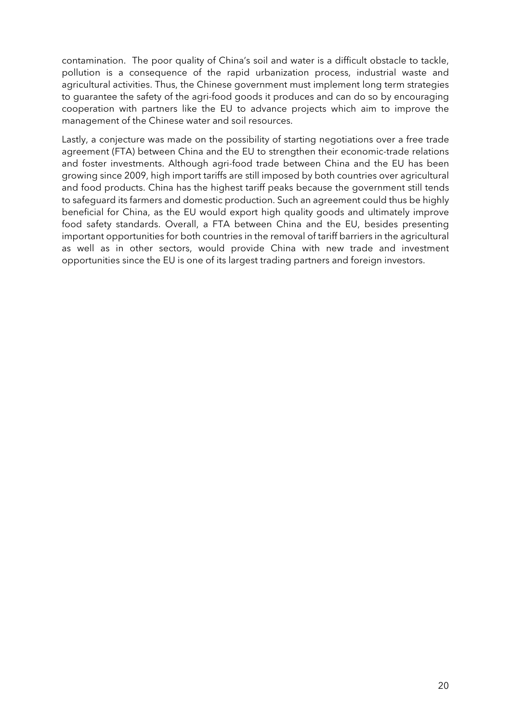contamination. The poor quality of China's soil and water is a difficult obstacle to tackle, pollution is a consequence of the rapid urbanization process, industrial waste and agricultural activities. Thus, the Chinese government must implement long term strategies to guarantee the safety of the agri-food goods it produces and can do so by encouraging cooperation with partners like the EU to advance projects which aim to improve the management of the Chinese water and soil resources.

Lastly, a conjecture was made on the possibility of starting negotiations over a free trade agreement (FTA) between China and the EU to strengthen their economic-trade relations and foster investments. Although agri-food trade between China and the EU has been growing since 2009, high import tariffs are still imposed by both countries over agricultural and food products. China has the highest tariff peaks because the government still tends to safeguard its farmers and domestic production. Such an agreement could thus be highly beneficial for China, as the EU would export high quality goods and ultimately improve food safety standards. Overall, a FTA between China and the EU, besides presenting important opportunities for both countries in the removal of tariff barriers in the agricultural as well as in other sectors, would provide China with new trade and investment opportunities since the EU is one of its largest trading partners and foreign investors.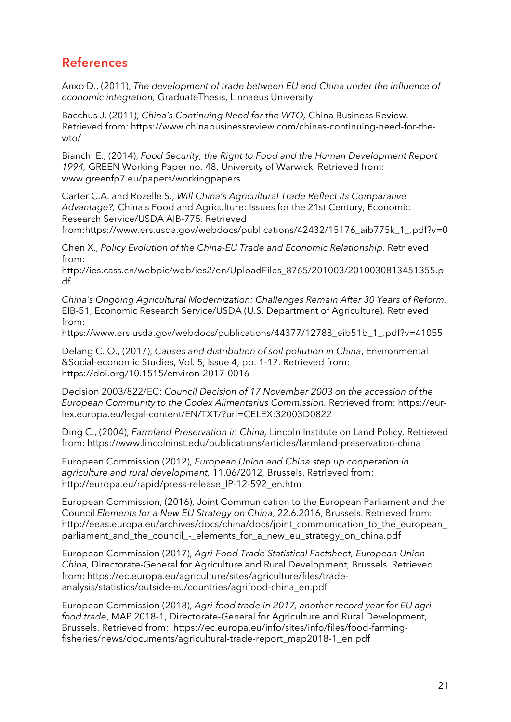#### <span id="page-20-0"></span>**References**

Anxo D., (2011), *The development of trade between EU and China under the influence of economic integration,* GraduateThesis, Linnaeus University.

Bacchus J. (2011), *China's Continuing Need for the WTO,* China Business Review. Retrieved from: https://www.chinabusinessreview.com/chinas-continuing-need-for-thewto/

Bianchi E., (2014), *Food Security, the Right to Food and the Human Development Report 1994,* GREEN Working Paper no. 48, University of Warwick. Retrieved from: www.greenfp7.eu/papers/workingpapers

Carter C.A. and Rozelle S., *Will China's Agricultural Trade Reflect Its Comparative Advantage?,* China's Food and Agriculture: Issues for the 21st Century, Economic Research Service/USDA AIB-775. Retrieved

from:https://www.ers.usda.gov/webdocs/publications/42432/15176\_aib775k\_1\_.pdf?v=0

Chen X., *Policy Evolution of the China-EU Trade and Economic Relationship*. Retrieved from:

http://ies.cass.cn/webpic/web/ies2/en/UploadFiles\_8765/201003/2010030813451355.p df

*China's Ongoing Agricultural Modernization: Challenges Remain After 30 Years of Reform*, EIB-51, Economic Research Service/USDA (U.S. Department of Agriculture). Retrieved from:

https://www.ers.usda.gov/webdocs/publications/44377/12788\_eib51b\_1\_.pdf?v=41055

Delang C. O., (2017), *Causes and distribution of soil pollution in China*, Environmental &Social-economic Studies, Vol. 5, Issue 4, pp. 1-17. Retrieved from: https://doi.org/10.1515/environ-2017-0016

Decision 2003/822/EC: *Council Decision of 17 November 2003 on the accession of the European Community to the Codex Alimentarius Commission.* Retrieved from: https://eurlex.europa.eu/legal-content/EN/TXT/?uri=CELEX:32003D0822

Ding C., (2004), *Farmland Preservation in China,* Lincoln Institute on Land Policy. Retrieved from: https://www.lincolninst.edu/publications/articles/farmland-preservation-china

European Commission (2012), *European Union and China step up cooperation in agriculture and rural development,* 11.06/2012, Brussels. Retrieved from: http://europa.eu/rapid/press-release\_IP-12-592\_en.htm

European Commission, (2016), Joint Communication to the European Parliament and the Council *Elements for a New EU Strategy on China*, 22.6.2016, Brussels. Retrieved from: http://eeas.europa.eu/archives/docs/china/docs/joint\_communication\_to\_the\_european\_ parliament\_and\_the\_council\_-\_elements\_for\_a\_new\_eu\_strategy\_on\_china.pdf

European Commission (2017), *Agri-Food Trade Statistical Factsheet, European Union-China,* Directorate-General for Agriculture and Rural Development, Brussels. Retrieved from: https://ec.europa.eu/agriculture/sites/agriculture/files/tradeanalysis/statistics/outside-eu/countries/agrifood-china\_en.pdf

European Commission (2018), *Agri-food trade in 2017, another record year for EU agrifood trade*, MAP 2018-1, Directorate-General for Agriculture and Rural Development, Brussels. Retrieved from: https://ec.europa.eu/info/sites/info/files/food-farmingfisheries/news/documents/agricultural-trade-report\_map2018-1\_en.pdf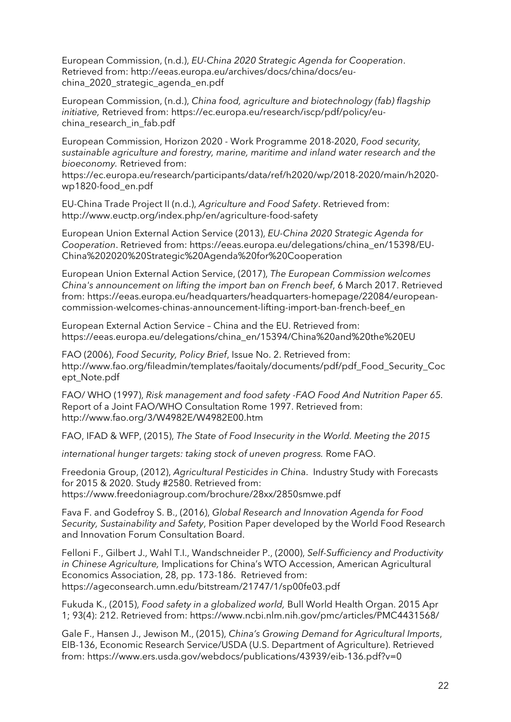European Commission, (n.d.), *EU-China 2020 Strategic Agenda for Cooperation*. Retrieved from: http://eeas.europa.eu/archives/docs/china/docs/euchina\_2020\_strategic\_agenda\_en.pdf

European Commission, (n.d.), *China food, agriculture and biotechnology (fab) flagship initiative,* Retrieved from: https://ec.europa.eu/research/iscp/pdf/policy/euchina\_research\_in\_fab.pdf

European Commission, Horizon 2020 - Work Programme 2018-2020, *Food security, sustainable agriculture and forestry, marine, maritime and inland water research and the bioeconomy.* Retrieved from:

https://ec.europa.eu/research/participants/data/ref/h2020/wp/2018-2020/main/h2020 wp1820-food\_en.pdf

EU-China Trade Project II (n.d.), *Agriculture and Food Safety*. Retrieved from: http://www.euctp.org/index.php/en/agriculture-food-safety

European Union External Action Service (2013), *EU-China 2020 Strategic Agenda for Cooperation*. Retrieved from: https://eeas.europa.eu/delegations/china\_en/15398/EU-China%202020%20Strategic%20Agenda%20for%20Cooperation

European Union External Action Service, (2017), *The European Commission welcomes China's announcement on lifting the import ban on French beef*, 6 March 2017. Retrieved from: https://eeas.europa.eu/headquarters/headquarters-homepage/22084/europeancommission-welcomes-chinas-announcement-lifting-import-ban-french-beef\_en

European External Action Service – China and the EU. Retrieved from: https://eeas.europa.eu/delegations/china\_en/15394/China%20and%20the%20EU

FAO (2006), *Food Security, Policy Brief*, Issue No. 2. Retrieved from: http://www.fao.org/fileadmin/templates/faoitaly/documents/pdf/pdf\_Food\_Security\_Coc ept\_Note.pdf

FAO/ WHO (1997), *Risk management and food safety -FAO Food And Nutrition Paper 65.* Report of a Joint FAO/WHO Consultation Rome 1997. Retrieved from: http://www.fao.org/3/W4982E/W4982E00.htm

FAO, IFAD & WFP, (2015), *The State of Food Insecurity in the World. Meeting the 2015*

*international hunger targets: taking stock of uneven progress.* Rome FAO.

Freedonia Group, (2012), *Agricultural Pesticides in Chi*na. Industry Study with Forecasts for 2015 & 2020. Study #2580. Retrieved from: https://www.freedoniagroup.com/brochure/28xx/2850smwe.pdf

Fava F. and Godefroy S. B., (2016), *Global Research and Innovation Agenda for Food Security, Sustainability and Safety*, Position Paper developed by the World Food Research and Innovation Forum Consultation Board.

Felloni F., Gilbert J., Wahl T.I., Wandschneider P., (2000), *Self-Sufficiency and Productivity in Chinese Agriculture,* Implications for China's WTO Accession, American Agricultural Economics Association, 28, pp. 173-186. Retrieved from: https://ageconsearch.umn.edu/bitstream/21747/1/sp00fe03.pdf

Fukuda K., (2015), *Food safety in a globalized world,* Bull World Health Organ. 2015 Apr 1; 93(4): 212. Retrieved from: https://www.ncbi.nlm.nih.gov/pmc/articles/PMC4431568/

Gale F., Hansen J., Jewison M., (2015), *China's Growing Demand for Agricultural Imports*, EIB-136, Economic Research Service/USDA (U.S. Department of Agriculture). Retrieved from: https://www.ers.usda.gov/webdocs/publications/43939/eib-136.pdf?v=0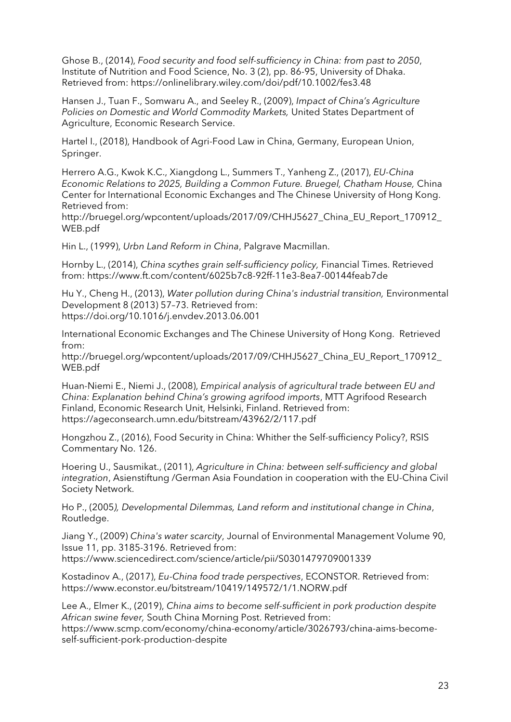Ghose B., (2014), *Food security and food self-sufficiency in China: from past to 2050*, Institute of Nutrition and Food Science, No. 3 (2), pp. 86-95, University of Dhaka. Retrieved from: https://onlinelibrary.wiley.com/doi/pdf/10.1002/fes3.48

Hansen J., Tuan F., Somwaru A., and Seeley R., (2009), *Impact of China's Agriculture Policies on Domestic and World Commodity Markets,* United States Department of Agriculture, Economic Research Service.

Hartel I., (2018), Handbook of Agri-Food Law in China, Germany, European Union, Springer.

Herrero A.G., Kwok K.C., Xiangdong L., Summers T., Yanheng Z., (2017), *EU-China Economic Relations to 2025, Building a Common Future. Bruegel, Chatham House,* China Center for International Economic Exchanges and The Chinese University of Hong Kong. Retrieved from:

http://bruegel.org/wpcontent/uploads/2017/09/CHHJ5627\_China\_EU\_Report\_170912\_ WEB.pdf

Hin L., (1999), *Urbn Land Reform in China*, Palgrave Macmillan.

Hornby L., (2014), *China scythes grain self-sufficiency policy,* Financial Times. Retrieved from: https://www.ft.com/content/6025b7c8-92ff-11e3-8ea7-00144feab7de

Hu Y., Cheng H., (2013), *Water pollution during China's industrial transition,* Environmental Development 8 (2013) 57–73. Retrieved from: https://doi.org/10.1016/j.envdev.2013.06.001

International Economic Exchanges and The Chinese University of Hong Kong. Retrieved from:

http://bruegel.org/wpcontent/uploads/2017/09/CHHJ5627 China EU Report 170912 WEB.pdf

Huan-Niemi E., Niemi J., (2008), *Empirical analysis of agricultural trade between EU and China: Explanation behind China's growing agrifood imports*, MTT Agrifood Research Finland, Economic Research Unit, Helsinki, Finland. Retrieved from: https://ageconsearch.umn.edu/bitstream/43962/2/117.pdf

Hongzhou Z., (2016), Food Security in China: Whither the Self-sufficiency Policy?, RSIS Commentary No. 126.

Hoering U., Sausmikat., (2011), *Agriculture in China: between self-sufficiency and global integration*, Asienstiftung /German Asia Foundation in cooperation with the EU-China Civil Society Network.

Ho P., (2005*), Developmental Dilemmas, Land reform and institutional change in China*, Routledge.

Jiang Y., (2009) *China's water scarcity*, Journal of Environmental Management Volume 90, Issue 11, pp. 3185-3196. Retrieved from: https://www.sciencedirect.com/science/article/pii/S0301479709001339

Kostadinov A., (2017), *Eu-China food trade perspectives*, ECONSTOR. Retrieved from: https://www.econstor.eu/bitstream/10419/149572/1/1.NORW.pdf

Lee A., Elmer K., (2019), *China aims to become self-sufficient in pork production despite African swine fever,* South China Morning Post. Retrieved from: https://www.scmp.com/economy/china-economy/article/3026793/china-aims-becomeself-sufficient-pork-production-despite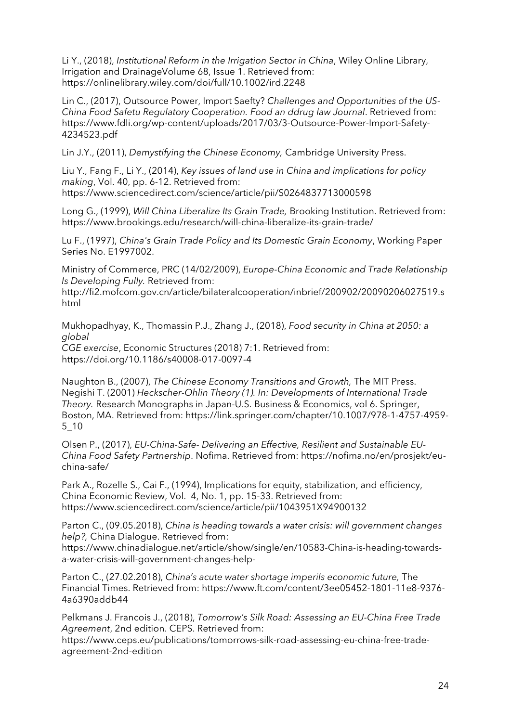Li Y., (2018), *Institutional Reform in the Irrigation Sector in China*, Wiley Online Library, Irrigation and DrainageVolume 68, Issue 1. Retrieved from: https://onlinelibrary.wiley.com/doi/full/10.1002/ird.2248

Lin C., (2017), Outsource Power, Import Saefty? *Challenges and Opportunities of the US-China Food Safetu Regulatory Cooperation. Food an ddrug law Journal*. Retrieved from: https://www.fdli.org/wp-content/uploads/2017/03/3-Outsource-Power-Import-Safety-4234523.pdf

Lin J.Y., (2011), *Demystifying the Chinese Economy,* Cambridge University Press.

Liu Y., Fang F., Li Y., (2014), *Key issues of land use in China and implications for policy making*, Vol. 40, pp. 6-12. Retrieved from: https://www.sciencedirect.com/science/article/pii/S0264837713000598

Long G., (1999), *Will China Liberalize Its Grain Trade,* Brooking Institution. Retrieved from: https://www.brookings.edu/research/will-china-liberalize-its-grain-trade/

Lu F., (1997), *China's Grain Trade Policy and Its Domestic Grain Economy*, Working Paper Series No. E1997002.

Ministry of Commerce, PRC (14/02/2009), *Europe-China Economic and Trade Relationship Is Developing Fully.* Retrieved from:

http://fi2.mofcom.gov.cn/article/bilateralcooperation/inbrief/200902/20090206027519.s html

Mukhopadhyay, K., Thomassin P.J., Zhang J., (2018), *Food security in China at 2050: a global CGE exercise*, Economic Structures (2018) 7:1. Retrieved from: https://doi.org/10.1186/s40008-017-0097-4

Naughton B., (2007), *The Chinese Economy Transitions and Growth,* The MIT Press. Negishi T. (2001) *Heckscher-Ohlin Theory (1). In: Developments of International Trade Theory.* Research Monographs in Japan-U.S. Business & Economics, vol 6. Springer, Boston, MA. Retrieved from: https://link.springer.com/chapter/10.1007/978-1-4757-4959- 5\_10

Olsen P., (2017), *EU-China-Safe- Delivering an Effective, Resilient and Sustainable EU-China Food Safety Partnership*. Nofima. Retrieved from: https://nofima.no/en/prosjekt/euchina-safe/

Park A., Rozelle S., Cai F., (1994), Implications for equity, stabilization, and efficiency, China Economic Review, Vol. 4, No. 1, pp. 15-33. Retrieved from: https://www.sciencedirect.com/science/article/pii/1043951X94900132

Parton C., (09.05.2018), *China is heading towards a water crisis: will government changes help?,* China Dialogue. Retrieved from: https://www.chinadialogue.net/article/show/single/en/10583-China-is-heading-towardsa-water-crisis-will-government-changes-help-

Parton C., (27.02.2018), *China's acute water shortage imperils economic future,* The Financial Times. Retrieved from: https://www.ft.com/content/3ee05452-1801-11e8-9376- 4a6390addb44

Pelkmans J. Francois J., (2018), *Tomorrow's Silk Road: Assessing an EU-China Free Trade Agreement*, 2nd edition. CEPS. Retrieved from:

https://www.ceps.eu/publications/tomorrows-silk-road-assessing-eu-china-free-tradeagreement-2nd-edition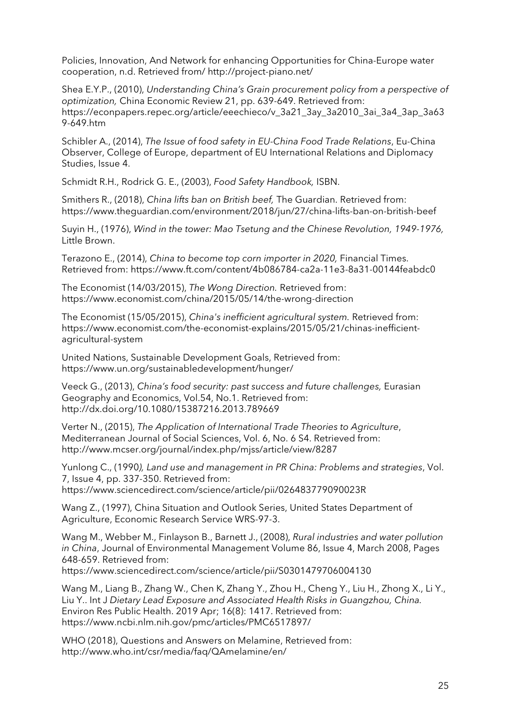Policies, Innovation, And Network for enhancing Opportunities for China-Europe water cooperation, n.d. Retrieved from/ http://project-piano.net/

Shea E.Y.P., (2010), *Understanding China's Grain procurement policy from a perspective of optimization,* China Economic Review 21, pp. 639-649. Retrieved from: https://econpapers.repec.org/article/eeechieco/v\_3a21\_3ay\_3a2010\_3ai\_3a4\_3ap\_3a63 9-649.htm

Schibler A., (2014), *The Issue of food safety in EU-China Food Trade Relations*, Eu-China Observer, College of Europe, department of EU International Relations and Diplomacy Studies, Issue 4.

Schmidt R.H., Rodrick G. E., (2003), *Food Safety Handbook,* ISBN.

Smithers R., (2018), *China lifts ban on British beef,* The Guardian. Retrieved from: https://www.theguardian.com/environment/2018/jun/27/china-lifts-ban-on-british-beef

Suyin H., (1976), *Wind in the tower: Mao Tsetung and the Chinese Revolution, 1949-1976,*  Little Brown.

Terazono E., (2014), *China to become top corn importer in 2020,* Financial Times. Retrieved from: https://www.ft.com/content/4b086784-ca2a-11e3-8a31-00144feabdc0

The Economist (14/03/2015), *The Wong Direction.* Retrieved from: https://www.economist.com/china/2015/05/14/the-wrong-direction

The Economist (15/05/2015), *China's inefficient agricultural system.* Retrieved from: https://www.economist.com/the-economist-explains/2015/05/21/chinas-inefficientagricultural-system

United Nations, Sustainable Development Goals, Retrieved from: https://www.un.org/sustainabledevelopment/hunger/

Veeck G., (2013), *China's food security: past success and future challenges,* Eurasian Geography and Economics, Vol.54, No.1. Retrieved from: http://dx.doi.org/10.1080/15387216.2013.789669

Verter N., (2015), *The Application of International Trade Theories to Agriculture*, Mediterranean Journal of Social Sciences, Vol. 6, No. 6 S4. Retrieved from: http://www.mcser.org/journal/index.php/mjss/article/view/8287

Yunlong C., (1990*), Land use and management in PR China: Problems and strategies*, Vol. 7, Issue 4, pp. 337-350. Retrieved from: https://www.sciencedirect.com/science/article/pii/026483779090023R

Wang Z., (1997), China Situation and Outlook Series, United States Department of Agriculture, Economic Research Service WRS-97-3.

Wang M., Webber M., Finlayson B., Barnett J., (2008), *Rural industries and water pollution in China*, Journal of Environmental Management Volume 86, Issue 4, March 2008, Pages 648-659. Retrieved from:

https://www.sciencedirect.com/science/article/pii/S0301479706004130

Wang M., Liang B., Zhang W., Chen K, Zhang Y., Zhou H., Cheng Y., Liu H., Zhong X., Li Y., Liu Y.. Int J *Dietary Lead Exposure and Associated Health Risks in Guangzhou, China.*  Environ Res Public Health. 2019 Apr; 16(8): 1417. Retrieved from: https://www.ncbi.nlm.nih.gov/pmc/articles/PMC6517897/

WHO (2018), Questions and Answers on Melamine, Retrieved from: http://www.who.int/csr/media/faq/QAmelamine/en/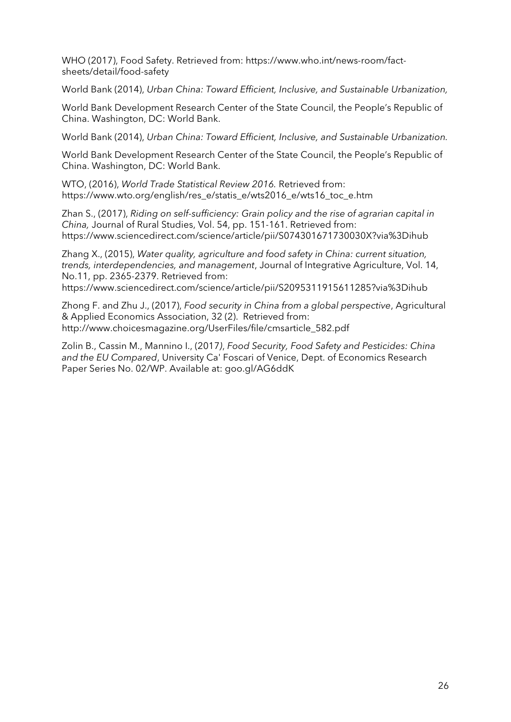WHO (2017), Food Safety. Retrieved from: https://www.who.int/news-room/factsheets/detail/food-safety

World Bank (2014), *Urban China: Toward Efficient, Inclusive, and Sustainable Urbanization,* 

World Bank Development Research Center of the State Council, the People's Republic of China. Washington, DC: World Bank.

World Bank (2014), *Urban China: Toward Efficient, Inclusive, and Sustainable Urbanization.*

World Bank Development Research Center of the State Council, the People's Republic of China. Washington, DC: World Bank.

WTO, (2016), *World Trade Statistical Review 2016.* Retrieved from: https://www.wto.org/english/res\_e/statis\_e/wts2016\_e/wts16\_toc\_e.htm

Zhan S., (2017), *Riding on self-sufficiency: Grain policy and the rise of agrarian capital in China,* Journal of Rural Studies, Vol. 54, pp. 151-161. Retrieved from: https://www.sciencedirect.com/science/article/pii/S074301671730030X?via%3Dihub

Zhang X., (2015), *Water quality, agriculture and food safety in China: current situation, trends, interdependencies, and management*, Journal of Integrative Agriculture, Vol. 14, No.11, pp. 2365-2379. Retrieved from:

https://www.sciencedirect.com/science/article/pii/S2095311915611285?via%3Dihub

Zhong F. and Zhu J., (2017), *Food security in China from a global perspective*, Agricultural & Applied Economics Association, 32 (2). Retrieved from: http://www.choicesmagazine.org/UserFiles/file/cmsarticle\_582.pdf

Zolin B., Cassin M., Mannino I., (2017*)*, *Food Security, Food Safety and Pesticides: China and the EU Compared*, University Ca' Foscari of Venice, Dept. of Economics Research Paper Series No. 02/WP. Available at: goo.gl/AG6ddK